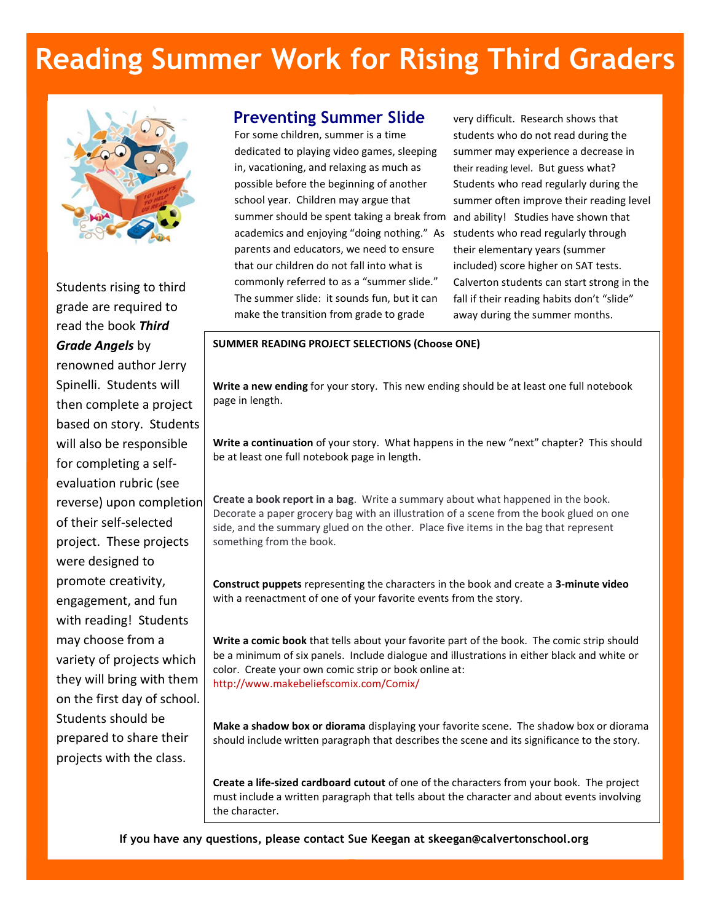# Reading Summer Work for Rising Third Graders



Students rising to third grade are required to read the book Third Grade Angels by renowned author Jerry Spinelli. Students will then complete a project based on story. Students will also be responsible for completing a selfevaluation rubric (see reverse) upon completion of their self-selected project. These projects were designed to promote creativity, engagement, and fun with reading! Students may choose from a variety of projects which they will bring with them on the first day of school. Students should be prepared to share their projects with the class.

### Preventing Summer Slide

For some children, summer is a time dedicated to playing video games, sleeping in, vacationing, and relaxing as much as possible before the beginning of another school year. Children may argue that summer should be spent taking a break from academics and enjoying "doing nothing." As parents and educators, we need to ensure that our children do not fall into what is commonly referred to as a "summer slide." The summer slide: it sounds fun, but it can make the transition from grade to grade

very difficult. Research shows that students who do not read during the summer may experience a decrease in their reading level. But guess what? Students who read regularly during the summer often improve their reading level and ability! Studies have shown that students who read regularly through their elementary years (summer included) score higher on SAT tests. Calverton students can start strong in the fall if their reading habits don't "slide" away during the summer months.

#### SUMMER READING PROJECT SELECTIONS (Choose ONE)

Write a new ending for your story. This new ending should be at least one full notebook page in length.

Write a continuation of your story. What happens in the new "next" chapter? This should be at least one full notebook page in length.

Create a book report in a bag. Write a summary about what happened in the book. Decorate a paper grocery bag with an illustration of a scene from the book glued on one side, and the summary glued on the other. Place five items in the bag that represent something from the book.

Construct puppets representing the characters in the book and create a 3-minute video with a reenactment of one of your favorite events from the story.

Write a comic book that tells about your favorite part of the book. The comic strip should be a minimum of six panels. Include dialogue and illustrations in either black and white or color. Create your own comic strip or book online at: http://www.makebeliefscomix.com/Comix/

Make a shadow box or diorama displaying your favorite scene. The shadow box or diorama should include written paragraph that describes the scene and its significance to the story.

Create a life-sized cardboard cutout of one of the characters from your book. The project must include a written paragraph that tells about the character and about events involving the character.

If you have any questions, please contact Sue Keegan at skeegan@calvertonschool.org